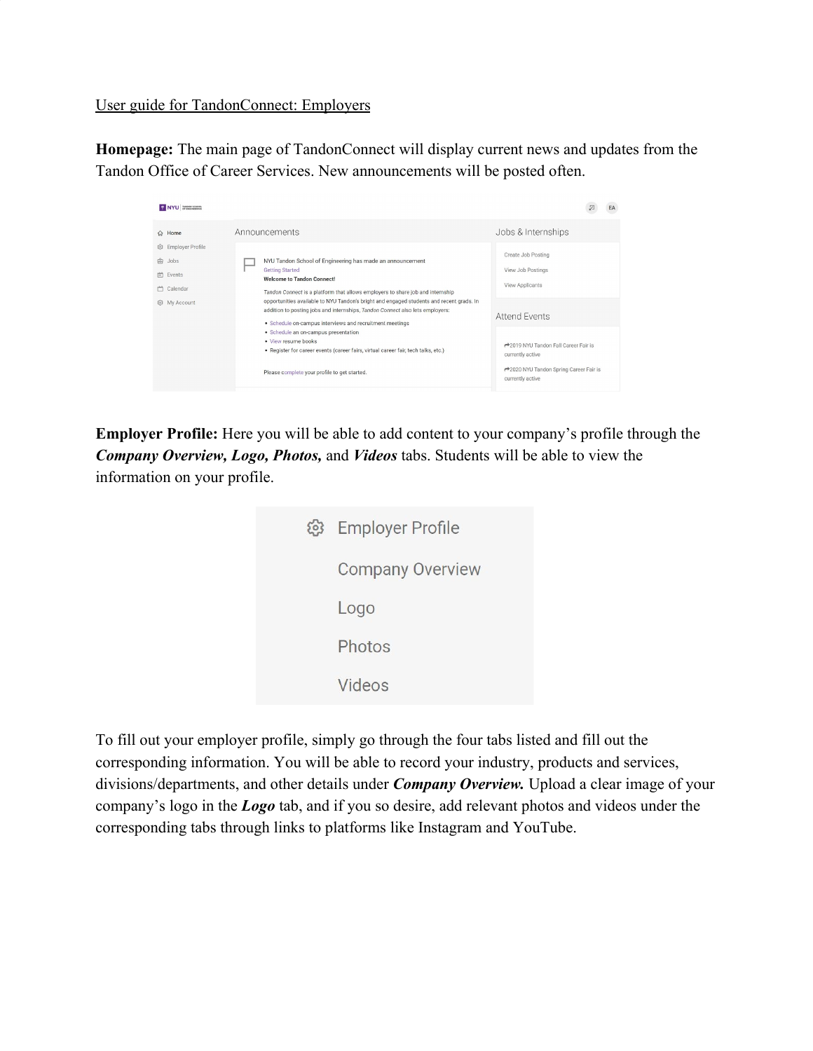User guide for TandonConnect: Employers

**Homepage:** The main page of TandonConnect will display current news and updates from the Tandon Office of Career Services. New announcements will be posted often.

| NYU MAGON SCHOOL                                                                                                                             |                                                                                                                                                                                                                                                                                                                                                                                                                                                                      | EA                                                                                                                       |
|----------------------------------------------------------------------------------------------------------------------------------------------|----------------------------------------------------------------------------------------------------------------------------------------------------------------------------------------------------------------------------------------------------------------------------------------------------------------------------------------------------------------------------------------------------------------------------------------------------------------------|--------------------------------------------------------------------------------------------------------------------------|
| $\Leftrightarrow$ Home<br><b>Employer Profile</b><br>503<br>कि<br>Jobs<br>Events<br>$\left  \frac{1}{2} \right $<br>Calendar<br>@ My Account | Announcements<br>NYU Tandon School of Engineering has made an announcement<br><b>Getting Started</b><br><b>Welcome to Tandon Connect!</b><br>Tandon Connect is a platform that allows employers to share job and internship<br>opportunities available to NYU Tandon's bright and engaged students and recent grads. In<br>addition to posting jobs and internships, Tandon Connect also lets employers:<br>• Schedule on-campus interviews and recruitment meetings | Jobs & Internships<br>Create Job Posting<br>View Job Postings<br>View Applicants<br>Attend Events                        |
|                                                                                                                                              | · Schedule an on-campus presentation<br>· View resume books<br>· Register for career events (career fairs, virtual career fair, tech talks, etc.)<br>Please complete your profile to get started.                                                                                                                                                                                                                                                                    | ← 2019 NYU Tandon Fall Career Fair is<br>currently active<br>← 2020 NYU Tandon Spring Career Fair is<br>currently active |

**Employer Profile:** Here you will be able to add content to your company's profile through the *Company Overview, Logo, Photos,* and *Videos* tabs. Students will be able to view the information on your profile.

| <b>Employer Profile</b> |
|-------------------------|
| <b>Company Overview</b> |
| Logo                    |
| Photos                  |
| Videos                  |
|                         |

To fill out your employer profile, simply go through the four tabs listed and fill out the corresponding information. You will be able to record your industry, products and services, divisions/departments, and other details under *Company Overview.* Upload a clear image of your company's logo in the *Logo* tab, and if you so desire, add relevant photos and videos under the corresponding tabs through links to platforms like Instagram and YouTube.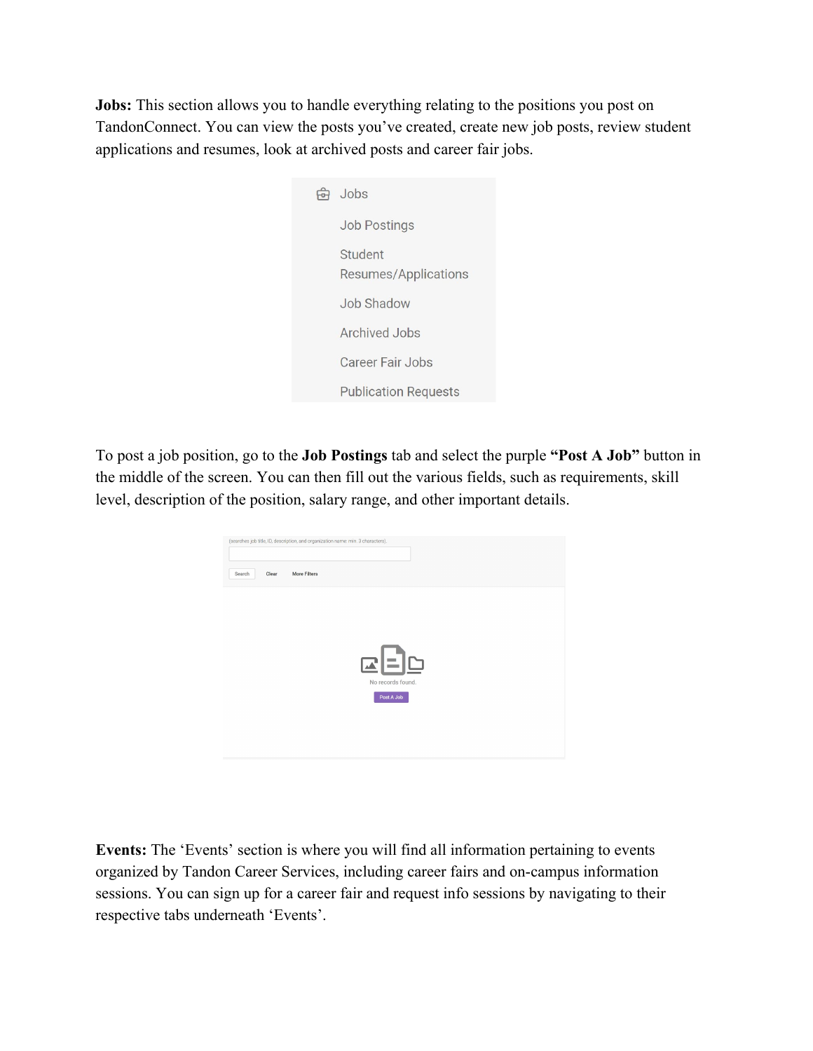**Jobs:** This section allows you to handle everything relating to the positions you post on TandonConnect. You can view the posts you've created, create new job posts, review student applications and resumes, look at archived posts and career fair jobs.

|  | Jobs                            |
|--|---------------------------------|
|  | <b>Job Postings</b>             |
|  | Student<br>Resumes/Applications |
|  | Job Shadow                      |
|  | Archived Jobs                   |
|  | Career Fair Jobs                |
|  | <b>Publication Requests</b>     |
|  |                                 |

To post a job position, go to the **Job Postings** tab and select the purple **"Post A Job"** button in the middle of the screen. You can then fill out the various fields, such as requirements, skill level, description of the position, salary range, and other important details.

| Clear<br>Search | (searches job title, ID, description, and organization name: min. 3 characters).<br><b>More Filters</b> |                              |  |
|-----------------|---------------------------------------------------------------------------------------------------------|------------------------------|--|
|                 |                                                                                                         |                              |  |
|                 |                                                                                                         | $E = E$<br>No records found. |  |
|                 |                                                                                                         | Post A Job                   |  |
|                 |                                                                                                         |                              |  |

**Events:** The 'Events' section is where you will find all information pertaining to events organized by Tandon Career Services, including career fairs and on-campus information sessions. You can sign up for a career fair and request info sessions by navigating to their respective tabs underneath 'Events'.